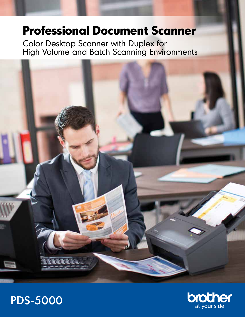# **Professional Document Scanner**

Color Desktop Scanner with Duplex for High Volume and Batch Scanning Environments